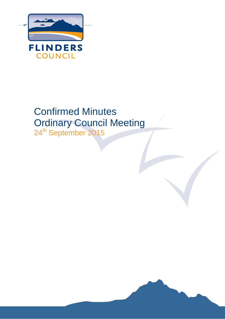

# Confirmed Minutes Ordinary Council Meeting

24<sup>th</sup> September 2015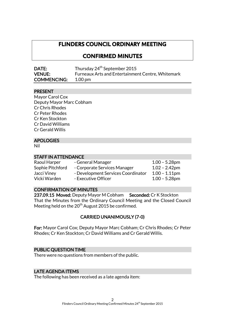### **FLINDERS COUNCIL ORDINARY MEETING**

### **CONFIRMED MINUTES**

| <b>DATE:</b>       | Thursday 24 <sup>th</sup> September 2015                 |
|--------------------|----------------------------------------------------------|
| <b>VENUE:</b>      | <b>Furneaux Arts and Entertainment Centre, Whitemark</b> |
| <b>COMMENCING:</b> | 1.00 pm                                                  |

#### PRESENT

Mayor Carol Cox Deputy Mayor Marc Cobham Cr Chris Rhodes Cr Peter Rhodes Cr Ken Stockton Cr David Williams Cr Gerald Willis

#### APOLOGIES

Nil

#### STAFF IN ATTENDANCE

| Raoul Harper     | - General Manager                  | $1.00 - 5.28$ pm |
|------------------|------------------------------------|------------------|
| Sophie Pitchford | - Corporate Services Manager       | $1.02 - 2.42$ pm |
| Jacci Viney      | - Development Services Coordinator | $1.00 - 1.11$ pm |
| Vicki Warden     | - Executive Officer                | $1.00 - 5.28$ pm |

#### CONFIRMATION OF MINUTES

237.09.15 Moved: Deputy Mayor M Cobham Seconded: Cr K Stockton That the Minutes from the Ordinary Council Meeting and the Closed Council Meeting held on the  $20^{th}$  August 2015 be confirmed.

#### CARRIED UNANIMOUSLY (7-0)

For: Mayor Carol Cox; Deputy Mayor Marc Cobham; Cr Chris Rhodes; Cr Peter Rhodes; Cr Ken Stockton; Cr David Williams and Cr Gerald Willis.

#### PUBLIC QUESTION TIME

There were no questions from members of the public.

#### LATE AGENDA ITEMS

The following has been received as a late agenda item: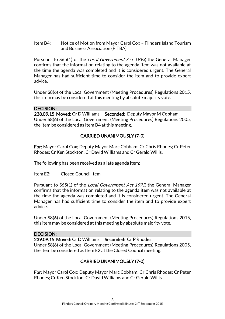Item B4: Notice of Motion from Mayor Carol Cox – Flinders Island Tourism and Business Association (FITBA)

Pursuant to S65(1) of the *Local Government Act 1993*, the General Manager confirms that the information relating to the agenda item was not available at the time the agenda was completed and it is considered urgent. The General Manager has had sufficient time to consider the item and to provide expert advice.

Under S8(6) of the Local Government (Meeting Procedures) Regulations 2015, this item may be considered at this meeting by absolute majority vote.

#### DECISION:

238.09.15 Moved: Cr D Williams Seconded: Deputy Mayor M Cobham Under S8(6) of the Local Government (Meeting Procedures) Regulations 2005, the item be considered as Item B4 at this meeting.

### CARRIED UNANIMOUSLY (7-0)

For: Mayor Carol Cox; Deputy Mayor Marc Cobham; Cr Chris Rhodes; Cr Peter Rhodes; Cr Ken Stockton; Cr David Williams and Cr Gerald Willis.

The following has been received as a late agenda item:

Item E2: Closed Council Item

Pursuant to S65(1) of the Local Government Act 1993, the General Manager confirms that the information relating to the agenda item was not available at the time the agenda was completed and it is considered urgent. The General Manager has had sufficient time to consider the item and to provide expert advice.

Under S8(6) of the Local Government (Meeting Procedures) Regulations 2015, this item may be considered at this meeting by absolute majority vote.

#### DECISION:

239.09.15 Moved: Cr D Williams Seconded: Cr P Rhodes Under S8(6) of the Local Government (Meeting Procedures) Regulations 2005, the item be considered as Item E2 at the Closed Council meeting.

### CARRIED UNANIMOUSLY (7-0)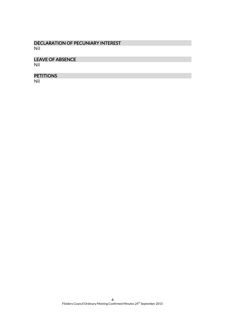### DECLARATION OF PECUNIARY INTEREST Nil

### LEAVE OF ABSENCE

Nil

### **PETITIONS**

Nil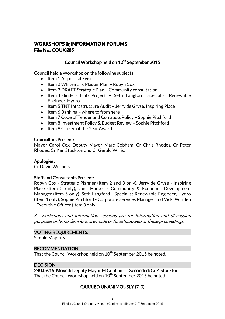### **WORKSHOPS & INFORMATION FORUMS File No: COU/0205**

### Council Workshop held on 10<sup>th</sup> September 2015

Council held a Workshop on the following subjects:

- $\bullet$  Item 1 Airport site visit
- Item 2 Whitemark Master Plan Robyn Cox
- Item 3 DRAFT Strategic Plan Community consultation
- Item 4 Flinders Hub Project Seth Langford, Specialist Renewable Engineer, Hydro
- Item 5 TNT Infrastructure Audit Jerry de Gryse, Inspiring Place
- $\bullet$  Item 6 Banking where to from here
- Item 7 Code of Tender and Contracts Policy Sophie Pitchford
- Item 8 Investment Policy & Budget Review Sophie Pitchford
- Item 9 Citizen of the Year Award

#### Councillors Present:

Mayor Carol Cox, Deputy Mayor Marc Cobham, Cr Chris Rhodes, Cr Peter Rhodes, Cr Ken Stockton and Cr Gerald Willis.

#### Apologies:

Cr David Williams

#### Staff and Consultants Present:

Robyn Cox - Strategic Planner (Item 2 and 3 only), Jerry de Gryse - Inspiring Place (Item 5 only), Jana Harper - Community & Economic Development Manager (Item 5 only), Seth Langford - Specialist Renewable Engineer, Hydro (Item 4 only), Sophie Pitchford - Corporate Services Manager and Vicki Warden - Executive Officer (Item 3 only).

As workshops and information sessions are for information and discussion purposes only, no decisions are made or foreshadowed at these proceedings.

#### VOTING REQUIREMENTS:

Simple Majority

#### RECOMMENDATION:

That the Council Workshop held on 10<sup>th</sup> September 2015 be noted.

#### DECISION:

240.09.15 Moved: Deputy Mayor M Cobham Seconded: Cr K Stockton That the Council Workshop held on  $10^{\sf th}$  September 2015 be noted.

### CARRIED UNANIMOUSLY (7-0)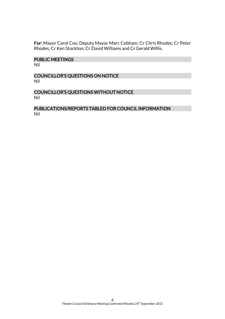For: Mayor Carol Cox; Deputy Mayor Marc Cobham; Cr Chris Rhodes; Cr Peter Rhodes; Cr Ken Stockton; Cr David Williams and Cr Gerald Willis.

#### PUBLIC MEETINGS

Nil

#### COUNCILLOR'S QUESTIONS ON NOTICE Nil

#### COUNCILLOR'S QUESTIONS WITHOUT NOTICE Nil

### PUBLICATIONS/REPORTS TABLED FOR COUNCIL INFORMATION Nil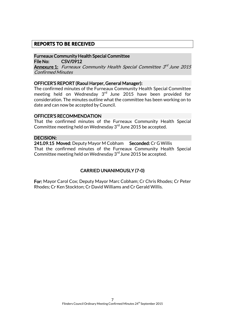### **REPORTS TO BE RECEIVED**

Furneaux Community Health Special Committee File No: CSV/0912

**Annexure 1:** Furneaux Community Health Special Committee 3<sup>rd</sup> June 2015 Confirmed Minutes

#### OFFICER'S REPORT (Raoul Harper, General Manager):

The confirmed minutes of the Furneaux Community Health Special Committee meeting held on Wednesday  $3<sup>rd</sup>$  June 2015 have been provided for consideration. The minutes outline what the committee has been working on to date and can now be accepted by Council.

#### OFFICER'S RECOMMENDATION

That the confirmed minutes of the Furneaux Community Health Special Committee meeting held on Wednesday 3<sup>rd</sup> June 2015 be accepted.

#### DECISION:

241.09.15 Moved: Deputy Mayor M Cobham Seconded: Cr G Willis That the confirmed minutes of the Furneaux Community Health Special Committee meeting held on Wednesday  $3<sup>rd</sup>$  June 2015 be accepted.

### CARRIED UNANIMOUSLY (7-0)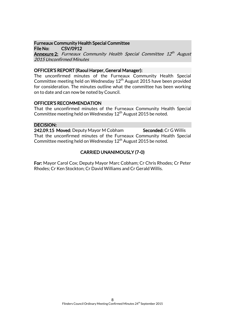### Furneaux Community Health Special Committee

File No: CSV/0912

**Annexure 2:** Furneaux Community Health Special Committee 12<sup>th</sup> August 2015 Unconfirmed Minutes

#### OFFICER'S REPORT (Raoul Harper, General Manager):

The unconfirmed minutes of the Furneaux Community Health Special Committee meeting held on Wednesday 12<sup>th</sup> August 2015 have been provided for consideration. The minutes outline what the committee has been working on to date and can now be noted by Council.

### OFFICER'S RECOMMENDATION

That the unconfirmed minutes of the Furneaux Community Health Special Committee meeting held on Wednesday  $12<sup>th</sup>$  August 2015 be noted.

### DECISION:

242.09.15 Moved: Deputy Mayor M Cobham Seconded: Cr G Willis That the unconfirmed minutes of the Furneaux Community Health Special Committee meeting held on Wednesday  $12<sup>th</sup>$  August 2015 be noted.

### CARRIED UNANIMOUSLY (7-0)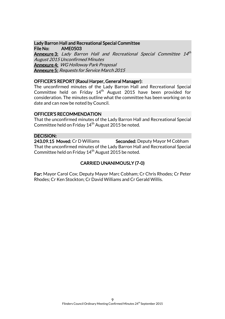### Lady Barron Hall and Recreational Special Committee File No: AME0503

**Annexure 3:** Lady Barron Hall and Recreational Special Committee 14<sup>th</sup> August 2015 Unconfirmed Minutes Annexure 4: WG Holloway Park Proposal Annexure 5: Requests for Service March 2015

#### OFFICER'S REPORT (Raoul Harper, General Manager):

The unconfirmed minutes of the Lady Barron Hall and Recreational Special Committee held on Friday 14<sup>th</sup> August 2015 have been provided for consideration. The minutes outline what the committee has been working on to date and can now be noted by Council.

#### OFFICER'S RECOMMENDATION

That the unconfirmed minutes of the Lady Barron Hall and Recreational Special Committee held on Friday  $14<sup>th</sup>$  August 2015 be noted.

#### DECISION:

243.09.15 Moved: Cr D Williams Seconded: Deputy Mayor M Cobham That the unconfirmed minutes of the Lady Barron Hall and Recreational Special Committee held on Friday  $14<sup>th</sup>$  August 2015 be noted.

### CARRIED UNANIMOUSLY (7-0)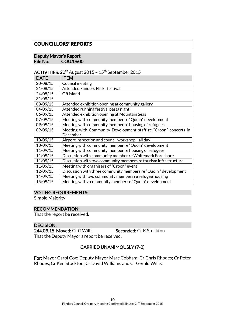### **COUNCILLORS' REPORTS**

#### Deputy Mayor's Report File No: COU/0600

ACTIVITIES:  $20^{th}$  August 2015 - 15<sup>th</sup> September 2015

| <b>DATE</b> | <b>ITEM</b>                                                     |
|-------------|-----------------------------------------------------------------|
| 20/08/15    | Council meeting                                                 |
| 21/08/15    | <b>Attended Flinders Flicks festival</b>                        |
| 24/08/15    | Off island                                                      |
| 31/08/15    |                                                                 |
| 03/09/15    | Attended exhibition opening at community gallery                |
| 04/09/15    | Attended running festival pasta night                           |
| 06/09/15    | Attended exhibition opening at Mountain Seas                    |
| 07/09/15    | Meeting with community member re "Quoin" development            |
| 09/09/15    | Meeting with community member re housing of refugees            |
| 09/09/15    | Meeting with Community Development staff re "Croon" concerts in |
|             | December                                                        |
| 10/09/15    | Airport inspection and council workshop-all day                 |
| 10/09/15    | Meeting with community member re "Quoin" development            |
| 11/09/15    | Meeting with community member re housing of refugees            |
| 11/09/15    | Discussion with community member re Whitemark Foreshore         |
| 11/09/15    | Discussion with two community members re tourism infrastructure |
| 11/09/15    | Meeting with organisers of "Croon" event                        |
| 12/09/15    | Discussion with three community members re "Quoin" development  |
| 14/09/15    | Meeting with two community members re refugee housing           |
| 15/09/15    | Meeting with a community member re "Quoin" development          |

#### VOTING REQUIREMENTS:

Simple Majority

#### RECOMMENDATION:

That the report be received.

#### DECISION:

244.09.15 Moved: Cr G Willis Seconded: Cr K Stockton That the Deputy Mayor's report be received.

### CARRIED UNANIMOUSLY (7-0)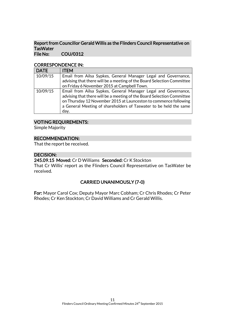#### Report from Councillor Gerald Willis as the Flinders Council Representative on **TasWater** File No: COU/0312

#### CORRESPONDENCE IN:

| <b>DATE</b> | <b>ITEM</b>                                                            |
|-------------|------------------------------------------------------------------------|
| 10/09/15    | Email from Ailsa Sypkes, General Manager Legal and Governance,         |
|             | advising that there will be a meeting of the Board Selection Committee |
|             | on Friday 6 November 2015 at Campbell Town.                            |
| 10/09/15    | Email from Ailsa Sypkes, General Manager Legal and Governance,         |
|             | advising that there will be a meeting of the Board Selection Committee |
|             | on Thursday 12 November 2015 at Launceston to commence following       |
|             | a General Meeting of shareholders of Taswater to be held the same      |
|             | day.                                                                   |

### VOTING REQUIREMENTS:

Simple Majority

#### RECOMMENDATION:

That the report be received.

#### DECISION:

245.09.15 Moved: Cr D Williams Seconded: Cr K Stockton

That Cr Willis' report as the Flinders Council Representative on TasWater be received.

### CARRIED UNANIMOUSLY (7-0)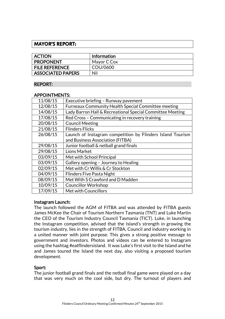### **MAYOR'S REPORT:**

| <b>ACTION</b>            | <b>Information</b> |
|--------------------------|--------------------|
| <b>PROPONENT</b>         | Mayor C Cox        |
| <b>FILE REFERENCE</b>    | COU/0600           |
| <b>ASSOCIATED PAPERS</b> | Nil                |

#### REPORT:

#### APPOINTMENTS:

| Executive briefing - Runway pavement                       |
|------------------------------------------------------------|
| <b>Furneaux Community Health Special Committee meeting</b> |
| Lady Barron Hall & Recreational Special Committee Meeting  |
| Red Cross - Communicating in recovery training             |
| <b>Council Meeting</b>                                     |
| <b>Flinders Flicks</b>                                     |
| Launch of Instagram competition by Flinders Island Tourism |
| and Business Association (FITBA)                           |
| Junior football & netball grand finals                     |
| Lions Market                                               |
| Met with School Principal                                  |
| Gallery opening - Journey to Healing                       |
| Met with Cr Willis & Cr Stockton                           |
| <b>Flinders Five Pasta Night</b>                           |
| Met With S Crawford and D Madden                           |
| <b>Councillor Workshop</b>                                 |
| Met with Councillors                                       |
|                                                            |

#### Instagram Launch:

The launch followed the AGM of FITBA and was attended by FITBA guests James McKee the Chair of Tourism Northern Tasmania (TNT) and Luke Martin the CEO of the Tourism Industry Council Tasmania (TICT). Luke, in launching the Instagram competition, advised that the Island's strength in growing the tourism industry, lies in the strength of FITBA, Council and industry working in a united manner with joint purpose. This gives a strong positive message to government and investors. Photos and videos can be entered to Instagram using the hashtag #eatflindersisland. It was Luke's first visit to the Island and he and James toured the Island the next day, also visiting a proposed tourism development.

#### Sport:

The junior football grand finals and the netball final game were played on a day that was very much on the cool side, but dry. The turnout of players and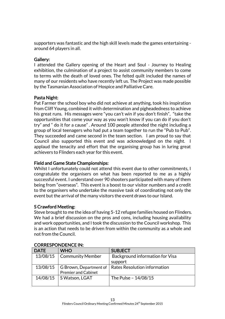supporters was fantastic and the high skill levels made the games entertaining around 64 players in all.

#### Gallery:

I attended the Gallery opening of the Heart and Soul - Journey to Healing exhibition, the culmination of a project to assist community members to come to terms with the death of loved ones. The felted quilt included the names of many of our residents who have recently left us. The Project was made possible by the Tasmanian Association of Hospice and Palliative Care.

### Pasta Night:

Pat Farmer the school boy who did not achieve at anything, took his inspiration from Cliff Young, combined it with determination and pigheadedness to achieve his great runs. His messages were "you can't win if you don't finish", "take the opportunities that come your way as you won't know if you can do if you don't try" and " do it for a cause" . Around 100 people attended the night including a group of local teenagers who had put a team together to run the "Pub to Pub". They succeeded and came second in the team section. I am proud to say that Council also supported this event and was acknowledged on the night. I applaud the tenacity and effort that the organising group has in luring great achievers to Flinders each year for this event.

### Field and Game State Championships:

Whilst I unfortunately could not attend this event due to other commitments, I congratulate the organisers on what has been reported to me as a highly successful event. I understand over 90 shooters participated with many of them being from "overseas". This event is a boost to our visitor numbers and a credit to the organisers who undertake the massive task of coordinating not only the event but the arrival of the many visitors the event draws to our Island.

### S Crawford Meeting:

Steve brought to me the idea of having 5-12 refugee families housed on Flinders. We had a brief discussion on the pros and cons, including housing availability and work opportunities, and I took the discussion to the Council workshop. This is an action that needs to be driven from within the community as a whole and not from the Council.

| <b>DATE</b> | <b>WHO</b>                 | <b>SUBJECT</b>                  |
|-------------|----------------------------|---------------------------------|
| 13/08/15    | <b>Community Member</b>    | Background information for Visa |
|             |                            | support                         |
| 13/08/15    | G Brown, Department of     | Rates Resolution information    |
|             | <b>Premier and Cabinet</b> |                                 |
| 14/08/15    | S Watson, LGAT             | The Pulse - 14/08/15            |
|             |                            |                                 |

#### CORRESPONDENCE IN: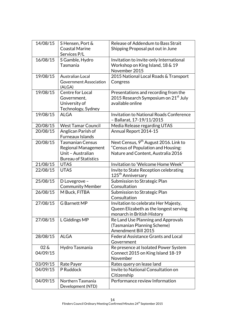| 14/08/15   | S Hensen, Port &                 | Release of Addendum to Bass Strait                                          |
|------------|----------------------------------|-----------------------------------------------------------------------------|
|            | <b>Coastal Marine</b>            | Shipping Proposal put out in June                                           |
|            | Services P/L                     |                                                                             |
| 16/08/15   | S Gamble, Hydro                  | Invitation to invite-only International                                     |
|            | Tasmania                         | Workshop on King Island, 18 & 19                                            |
|            |                                  | November 2015                                                               |
| 19/08/15   | <b>Australian Local</b>          | 2015 National Local Roads & Transport                                       |
|            | Government Association<br>(ALGA) | Congress                                                                    |
| 19/08/15   | Centre for Local                 | Presentations and recording from the                                        |
|            | Government,                      | 2015 Research Symposium on 21 <sup>st</sup> July                            |
|            | University of                    | available online                                                            |
|            | Technology, Sydney               |                                                                             |
| 19/08/15   | <b>ALGA</b>                      | <b>Invitation to National Roads Conference</b><br>- Ballarat, 17-19/11/2015 |
| 20/08/15   | <b>West Tamar Council</b>        | Media Release regarding UTAS                                                |
| 20/08/15   | Anglican Parish of               | Annual Report 2014-15                                                       |
|            | Furneaux Islands                 |                                                                             |
| 20/08/15   | <b>Tasmanian Census</b>          | Next Census, 9 <sup>th</sup> August 2016. Link to                           |
|            | <b>Regional Management</b>       | "Census of Population and Housing:                                          |
|            | Unit - Australian                | Nature and Content, Australia 2016                                          |
|            | <b>Bureau of Statistics</b>      |                                                                             |
| 21/08/15   | <b>UTAS</b>                      | Invitation to 'Welcome Home Week"                                           |
| 22/08/15   | <b>UTAS</b>                      | Invite to State Reception celebrating                                       |
|            |                                  | 125 <sup>th</sup> Anniversary                                               |
| 25/08/15   | D Lovegrove -                    | Submission to Strategic Plan                                                |
|            | <b>Community Member</b>          | Consultation                                                                |
| 26/08/15   | M Buck, FITBA                    | Submission to Strategic Plan                                                |
|            |                                  | Consultation                                                                |
| 27/08/15   | <b>G</b> Barnett MP              | Invitation to celebrate Her Majesty,                                        |
|            |                                  | Queen Elizabeth as the longest serving                                      |
|            |                                  | monarch in British History                                                  |
| 27/08/15   | L Giddings MP                    | Re Land Use Planning and Approvals                                          |
|            |                                  | (Tasmanian Planning Scheme)<br><b>Amendment Bill 2015</b>                   |
| 28/08/15   | <b>ALGA</b>                      | <b>Federal Assistance Grants and Local</b>                                  |
|            |                                  | Government                                                                  |
| $02\delta$ | Hydro Tasmania                   |                                                                             |
| 04/09/15   |                                  | Re presence at Isolated Power System<br>Connect 2015 on King Island 18-19   |
|            |                                  | November                                                                    |
| 03/09/15   | Rate Payer                       | Rates query on lease land                                                   |
| 04/09/15   | P Ruddock                        | Invite to National Consultation on                                          |
|            |                                  | Citizenship                                                                 |
| 04/09/15   | Northern Tasmania                | Performance review Information                                              |
|            | Development (NTD)                |                                                                             |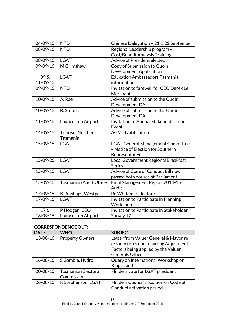| 04/09/15 | <b>NTD</b>                    | Chinese Delegation - 21 & 22 September              |
|----------|-------------------------------|-----------------------------------------------------|
| 08/09/15 | <b>NTD</b>                    | Regional Leadership program -                       |
|          |                               | <b>Cost/Benefit Analysis Training</b>               |
| 08/09/15 | <b>LGAT</b>                   | Advice of President elected                         |
| 09/09/15 | M Grimshaw                    | Copy of Submission to Quoin                         |
|          |                               | <b>Development Application</b>                      |
| 09&      | <b>LGAT</b>                   | <b>Education Ambassadors Tasmania</b>               |
| 11/09/15 |                               | information                                         |
| 09/09/15 | <b>NTD</b>                    | Invitation to farewell for CEO Derek Le<br>Merchant |
| 10/09/15 | A. Rae                        | Advice of submission to the Quoin                   |
|          |                               | Development DA                                      |
| 10/09/15 | <b>B.</b> Stubbs              | Advice of submission to the Quoin                   |
|          |                               | Development DA                                      |
| 11/09/15 | Launceston Airport            | Invitation to Annual Stakeholder report             |
|          |                               | Event                                               |
| 14/09/15 | <b>Tourism Northern</b>       | <b>AGM</b> - Notification                           |
|          | Tasmania                      |                                                     |
| 15/09/15 | <b>LGAT</b>                   | <b>LGAT General Management Committee</b>            |
|          |                               | - Notice of Election for Southern                   |
|          |                               | Representative                                      |
| 15/09/25 | <b>LGAT</b>                   | Local Government Regional Breakfast                 |
|          |                               | <b>Series</b>                                       |
| 15/09/15 | <b>LGAT</b>                   | Advice of Code of Conduct Bill now                  |
|          |                               | passed both houses of Parliament                    |
| 15/09/15 | <b>Tasmanian Audit Office</b> | Final Management Report 2014-15                     |
|          |                               | Audit                                               |
| 17/09/15 | K Rowlings, Westpac           | Re Whitemark Instore                                |
| 17/09/15 | <b>LGAT</b>                   | Invitation to Participate in Planning               |
|          |                               | Workshop                                            |
| $17\ \&$ | P Hodgen, CEO                 | Invitation to Participate in Stakeholder            |
| 18/09/15 | Launceston Airport            | Survey 17                                           |

### CORRESPONDENCE OUT:

| <b>DATE</b> | <b>WHO</b>                               | <b>SUBJECT</b>                                                                                                                                   |
|-------------|------------------------------------------|--------------------------------------------------------------------------------------------------------------------------------------------------|
| 13/08/15    | <b>Property Owners</b>                   | Letter from Valuer General & Mayor re<br>error in rates due to wrong Adjustment<br>Factors being applied by the Valuer<br><b>Generals Office</b> |
| 16/08/15    | S Gamble, Hydro                          | Query on International Workshop on<br>King Island                                                                                                |
| 20/08/15    | <b>Tasmanian Electoral</b><br>Commission | Flinders vote for LGAT president                                                                                                                 |
| 26/08/15    | K Stephenson, LGAT                       | Flinders Council's position on Code of<br>Conduct activation period                                                                              |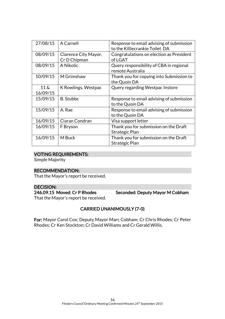| 27/08/15          | A Carnell            | Response to email advising of submission<br>to the Killiecrankie Toilet DA |
|-------------------|----------------------|----------------------------------------------------------------------------|
| 08/09/15          | Clarence City Mayor, | Congratulations on election as President                                   |
|                   | Cr D Chipman         | of LGAT                                                                    |
| 08/09/15          | A Nikolic            | Query responsibility of CBA in regional                                    |
|                   |                      | remote Australia                                                           |
| 10/09/15          | M Grimshaw           | Thank you for copying into Submission to                                   |
|                   |                      | the Quoin DA                                                               |
| $11\,\mathrm{\&}$ | K Rowlings, Westpac  | Query regarding Westpac Instore                                            |
| 16/09/15          |                      |                                                                            |
| 15/09/15          | <b>B.</b> Stubbs     | Response to email advising of submission                                   |
|                   |                      | to the Quoin DA                                                            |
| 15/09/15          | A. Rae               | Response to email advising of submission                                   |
|                   |                      | to the Quoin DA                                                            |
| 16/09/15          | Ciaran Condran       | Visa support letter                                                        |
| 16/09/15          | F Bryson             | Thank you for submission on the Draft                                      |
|                   |                      | Strategic Plan                                                             |
| 16/09/15          | M Buck               | Thank you for submission on the Draft                                      |
|                   |                      | Strategic Plan                                                             |

#### VOTING REQUIREMENTS:

Simple Majority

#### RECOMMENDATION:

That the Mayor's report be received.

DECISION:<br>246.09.15 Moved: Cr P Rhodes

Seconded: Deputy Mayor M Cobham

That the Mayor's report be received.

### CARRIED UNANIMOUSLY (7-0)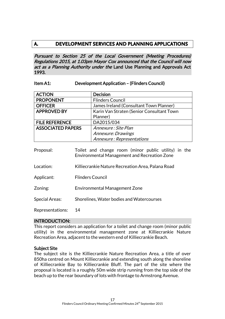### **A. DEVELOPMENT SERVICES AND PLANNING APPLICATIONS**

Pursuant to Section 25 of the Local Government (Meeting Procedures) Regulations 2015, at 1.03pm Mayor Cox announced that the Council will now act as a Planning Authority under the Land Use Planning and Approvals Act 1993.

#### Item A1: Development Application – (Flinders Council)

| <b>ACTION</b>            | <b>Decision</b>                           |
|--------------------------|-------------------------------------------|
| <b>PROPONENT</b>         | <b>Flinders Council</b>                   |
| <b>OFFICER</b>           | James Ireland (Consultant Town Planner)   |
| <b>APPROVED BY</b>       | Karin Van Straten (Senior Consultant Town |
|                          | Planner)                                  |
| <b>FILE REFERENCE</b>    | DA2015/034                                |
| <b>ASSOCIATED PAPERS</b> | Annexure : Site Plan                      |
|                          | Annexure: Drawings                        |
|                          | Annexure: Representations                 |

- Proposal: Toilet and change room (minor public utility) in the Environmental Management and Recreation Zone Location: Killiecrankie Nature Recreation Area, Palana Road Applicant: Flinders Council Zoning: Environmental Management Zone
- Special Areas: Shorelines, Water bodies and Watercourses

Representations: 14

#### INTRODUCTION:

This report considers an application for a toilet and change room (minor public utility) in the environmental management zone at Killiecrankie Nature Recreation Area, adjacent to the western end of Killiecrankie Beach.

#### Subject Site

The subject site is the Killiecrankie Nature Recreation Area, a title of over 850ha centred on Mount Killiecrankie and extending south along the shoreline of Killiecrankie Bay to Killiecrankie Bluff. The part of the site where the proposal is located is a roughly 50m wide strip running from the top side of the beach up to the rear boundary of lots with frontage to Armstrong Avenue.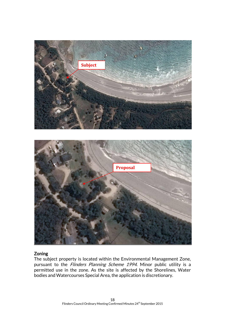

#### Zoning

The subject property is located within the Environmental Management Zone, pursuant to the Flinders Planning Scheme 1994. Minor public utility is a permitted use in the zone. As the site is affected by the Shorelines, Water bodies and Watercourses Special Area, the application is discretionary.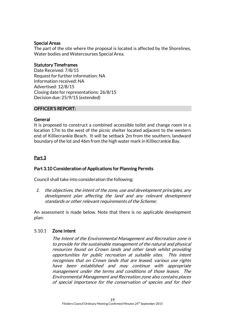#### Special Areas

The part of the site where the proposal is located is affected by the Shorelines, Water bodies and Watercourses Special Area.

### Statutory Timeframes

Date Received: 7/8/15 Request for further information: NA Information received: NA Advertised: 12/8/15 Closing date for representations: 26/8/15 Decision due: 25/9/15 (extended)

#### OFFICER'S REPORT:

#### General

It is proposed to construct a combined accessible toilet and change room in a location 17m to the west of the picnic shelter located adjacent to the western end of Killiecrankie Beach. It will be setback 2m from the southern, landward boundary of the lot and 46m from the high water mark in Killiecrankie Bay.

### Part 3

### Part 3.10 Consideration of Applications for Planning Permits

Council shall take into consideration the following:

1. the objectives, the intent of the zone, use and development principles, any development plan affecting the land and any relevant development standards or other relevant requirements of the Scheme;

An assessment is made below. Note that there is no applicable development plan:

#### 5.10.1 Zone Intent

The Intent of the Environmental Management and Recreation zone is to provide for the sustainable management of the natural and physical resources found on Crown lands and other lands whilst providing opportunities for public recreation at suitable sites. This intent recognises that on Crown lands that are leased, various use rights have been established and may continue with appropriate management under the terms and conditions of those leases. The Environmental Management and Recreation zone also contains places of special importance for the conservation of species and for their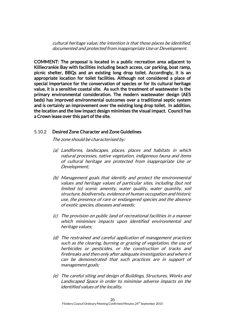cultural heritage value; the intention is that those places be identified, documented and protected from inappropriate Use or Development.

COMMENT: The proposal is located in a public recreation area adjacent to Killiecrankie Bay with facilities including beach access, car parking, boat ramp, picnic shelter, BBQs and an existing long drop toilet. Accordingly, it is an appropriate location for toilet facilities. Although not considered a place of special importance for the conservation of species or for its cultural heritage value, it is a sensitive coastal site. As such the treatment of wastewater is the primary environmental consideration. The modern wastewater design (AES beds) has improved environmental outcomes over a traditional septic system and is certainly an improvement over the existing long drop toilet. In addition, the location and the low impact design minimises the visual impact. Council has a Crown lease over this part of the site.

#### 5.10.2 Desired Zone Character and Zone Guidelines

The zone should be characterised by:

- (a) Landforms, landscapes, places, places and habitats in which natural processes, native vegetation, indigenous fauna and items of cultural heritage are protected from inappropriate Use or Development;
- (b) Management goals that identify and protect the environmental values and heritage values of particular sites, including (but not limited to) scenic amenity, water quality, water quantity, soil structure, biodiversity, evidence of human occupation and historic use, the presence of rare or endangered species and the absence of exotic species, diseases and weeds;
- (c) The provision on public land of recreational facilities in a manner which minimises impacts upon identified environmental and heritage values;
- (d) The restrained and careful application of management practices such as the clearing, burning or grazing of vegetation, the use of herbicides or pesticides, or the construction of tracks and firebreaks and then only after adequate investigation and where it can be demonstrated that such practices are in support of management goals;
- (e) The careful siting and design of Buildings, Structures, Works and Landscaped Space in order to minimise adverse impacts on the identified values of the locality.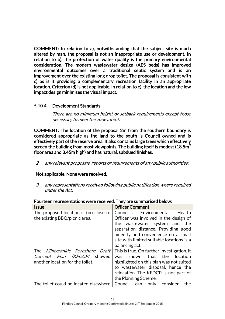COMMENT: In relation to a), notwithstanding that the subject site is much altered by man, the proposal is not an inappropriate use or development. In relation to b), the protection of water quality is the primary environmental consideration. The modern wastewater design (AES beds) has improved environmental outcomes over a traditional septic system and is an improvement over the existing long drop toilet. The proposal is consistent with c) as is it providing a complementary recreation facility in an appropriate location. Criterion (d) is not applicable. In relation to e), the location and the low impact design minimises the visual impact.

#### 5.10.4 Development Standards

There are no minimum height or setback requirements except those necessary to meet the zone intent.

COMMENT: The location of the proposal 2m from the southern boundary is considered appropriate as the land to the south is Council owned and is effectively part of the reserve area. It also contains large trees which effectively screen the building from most viewpoints. The building itself is modest (18.5 $m<sup>2</sup>$ floor area and 3.45m high) and has natural, subdued finishes.

2. any relevant proposals, reports or requirements of any public authorities;

#### Not applicable. None were received.

3. any representations received following public notification where required under the Act;

| <b>Issue</b>                                                     | <b>Officer Comment</b>                                                                                        |
|------------------------------------------------------------------|---------------------------------------------------------------------------------------------------------------|
| The proposed location is too close to                            | Council's Environmental<br>Health                                                                             |
| the existing BBQ/picnic area.                                    | Officer was involved in the design of<br>the wastewater system and the<br>separation distance. Providing good |
|                                                                  | amenity and convenience on a small                                                                            |
|                                                                  | site with limited suitable locations is a                                                                     |
|                                                                  | balancing act.                                                                                                |
| The Killiecrankie Foreshore Draft<br>Concept Plan (KFDCP) showed | This is true. On further investigation, it<br>shown that<br>the<br>location<br>was                            |
| another location for the toilet.                                 | highlighted on this plan was not suited                                                                       |
|                                                                  | to wastewater disposal, hence the                                                                             |
|                                                                  | relocation. The KFDCP is not part of                                                                          |
|                                                                  | the Planning Scheme.                                                                                          |
| The toilet could be located elsewhere                            | Council<br>the<br>consider<br>only<br>can                                                                     |

Fourteen representations were received. They are summarised below: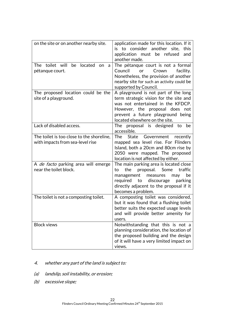| on the site or on another nearby site.                                        | application made for this location. If it<br>is to consider another site,<br>this<br>application must be refused<br>and<br>another made.                                                                                               |
|-------------------------------------------------------------------------------|----------------------------------------------------------------------------------------------------------------------------------------------------------------------------------------------------------------------------------------|
| The toilet will<br>be located<br>on<br>a<br>pétanque court.                   | The pétanque court is not a formal<br>Council<br>or<br>Crown<br>facility.<br>Nonetheless, the provision of another<br>nearby site for such an activity could be<br>supported by Council.                                               |
| The proposed location could be the<br>site of a playground.                   | A playground is not part of the long<br>term strategic vision for the site and<br>was not entertained in the KFDCP.<br>However, the proposal does not<br>prevent a future playground being<br>located elsewhere on the site.           |
| Lack of disabled access.                                                      | The proposal is designed to<br>be<br>accessible.                                                                                                                                                                                       |
| The toilet is too close to the shoreline,<br>with impacts from sea-level rise | The<br>Government<br>State<br>recently<br>mapped sea level rise. For Flinders<br>Island, both a 20cm and 80cm rise by<br>2050 were mapped. The proposed<br>location is not affected by either.                                         |
| A <i>de facto</i> parking area will emerge<br>near the toilet block.          | The main parking area is located close<br>proposal.<br>the<br>Some<br>traffic<br>to<br>management<br>measures<br>be<br>may<br>required<br>discourage<br>to<br>parking<br>directly adjacent to the proposal if it<br>becomes a problem. |
| The toilet is not a composting toilet.                                        | A composting toilet was considered,<br>but it was found that a flushing toilet<br>better suits the expected usage levels<br>and will provide better amenity for<br>users.                                                              |
| <b>Block views</b>                                                            | Notwithstanding that this is not a<br>planning consideration, the location of<br>the proposed building and the design<br>of it will have a very limited impact on<br>views.                                                            |

- 4. whether any part of the land is subject to:
- (a) landslip, soil instability, or erosion;
- (b) excessive slope;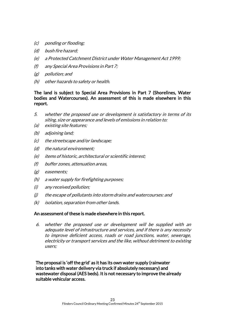- (c) ponding or flooding;
- (d) bush fire hazard;
- (e) a Protected Catchment District under Water Management Act 1999;
- (f) any Special Area Provisions in Part 7;
- (g) pollution; and
- (h) other hazards to safety or health.

#### The land is subject to Special Area Provisions in Part 7 (Shorelines, Water bodies and Watercourses). An assessment of this is made elsewhere in this report.

- 5. whether the proposed use or development is satisfactory in terms of its siting, size or appearance and levels of emissions in relation to:
- (a) existing site features;
- (b) adjoining land;
- (c) the streetscape and/or landscape;
- (d) the natural environment;
- (e) items of historic, architectural or scientific interest;
- (f) buffer zones, attenuation areas,
- (g) easements;
- (h) a water supply for firefighting purposes;
- (i) any received pollution;
- (j) the escape of pollutants into storm drains and watercourses: and
- (k) isolation, separation from other lands.

#### An assessment of these is made elsewhere in this report.

6. whether the proposed use or development will be supplied with an adequate level of infrastructure and services, and if there is any necessity to improve deficient access, roads or road junctions, water, sewerage, electricity or transport services and the like, without detriment to existing users;

The proposal is 'off the grid' as it has its own water supply (rainwater into tanks with water delivery via truck if absolutely necessary) and wastewater disposal (AES beds). It is not necessary to improve the already suitable vehicular access.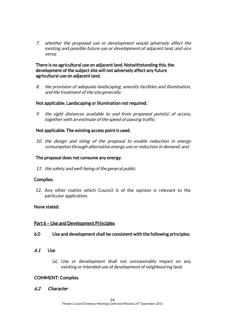7. whether the proposed use or development would adversely affect the existing and possible future use or development of adjacent land, and vice versa;

#### There is no agricultural use on adjacent land. Notwithstanding this, the development of the subject site will not adversely affect any future agricultural use on adjacent land.

8. the provision of adequate landscaping, amenity facilities and illumination, and the treatment of the site generally;

#### Not applicable. Landscaping or illumination not required.

9. the sight distances available to and from proposed point(s) of access, together with an estimate of the speed of passing traffic;

#### Not applicable. The existing access point is used.

10. the design and siting of the proposal to enable reduction in energy consumption through alternative energy use or reduction in demand; and

#### The proposal does not consume any energy.

11. the safety and well-being of the general public.

#### Complies.

12. Any other matter which Council is of the opinion is relevant to the particular application.

#### None stated.

#### Part 6 – Use and Development Principles

#### 6.0 Use and development shall be consistent with the following principles:

#### 6.1 Use

(a). Use or development shall not unreasonably impact on any existing or intended use of development of neighbouring land.

#### COMMENT: Complies

6.2 Character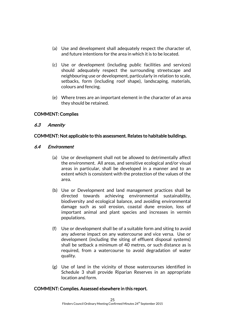- (a) Use and development shall adequately respect the character of, and future intentions for the area in which it is to be located.
- (c) Use or development (including public facilities and services) should adequately respect the surrounding streetscape and neighbouring use or development, particularly in relation to scale, setbacks, form (including roof shape), landscaping, materials, colours and fencing.
- (e) Where trees are an important element in the character of an area they should be retained.

#### COMMENT: Complies

#### 6.3 Amenity

#### COMMENT: Not applicable to this assessment. Relates to habitable buildings.

#### 6.4 Environment

- (a) Use or development shall not be allowed to detrimentally affect the environment. All areas, and sensitive ecological and/or visual areas in particular, shall be developed in a manner and to an extent which is consistent with the protection of the values of the area.
- (b) Use or Development and land management practices shall be directed towards achieving environmental sustainability, biodiversity and ecological balance, and avoiding environmental damage such as soil erosion, coastal dune erosion, loss of important animal and plant species and increases in vermin populations.
- (f) Use or development shall be of a suitable form and siting to avoid any adverse impact on any watercourse and vice versa. Use or development (including the siting of effluent disposal systems) shall be setback a minimum of 40 metres, or such distance as is required, from a watercourse to avoid degradation of water quality.
- (g) Use of land in the vicinity of those watercourses identified in Schedule 3 shall provide Riparian Reserves in an appropriate location and form.

#### COMMENT: Complies. Assessed elsewhere in this report.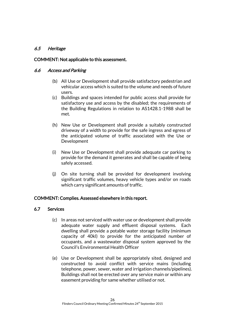### 6.5 Heritage

#### COMMENT: Not applicable to this assessment.

#### 6.6 Access and Parking

- (b) All Use or Development shall provide satisfactory pedestrian and vehicular access which is suited to the volume and needs of future users.
- (c) Buildings and spaces intended for public access shall provide for satisfactory use and access by the disabled; the requirements of the Building Regulations in relation to AS1428.1-1988 shall be met.
- (h) New Use or Development shall provide a suitably constructed driveway of a width to provide for the safe ingress and egress of the anticipated volume of traffic associated with the Use or Development
- (i) New Use or Development shall provide adequate car parking to provide for the demand it generates and shall be capable of being safely accessed.
- (j) On site turning shall be provided for development involving significant traffic volumes, heavy vehicle types and/or on roads which carry significant amounts of traffic.

#### COMMENT: Complies. Assessed elsewhere in this report.

#### 6.7 Services

- (c) In areas not serviced with water use or development shall provide adequate water supply and effluent disposal systems. Each dwelling shall provide a potable water storage facility (minimum capacity of 40kl) to provide for the anticipated number of occupants, and a wastewater disposal system approved by the Council's Environmental Health Officer
- (e) Use or Development shall be appropriately sited, designed and constructed to avoid conflict with service mains (including telephone, power, sewer, water and irrigation channels/pipelines). Buildings shall not be erected over any service main or within any easement providing for same whether utilised or not.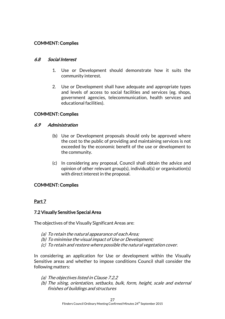### COMMENT: Complies

#### 6.8 Social Interest

- 1. Use or Development should demonstrate how it suits the community interest.
- 2. Use or Development shall have adequate and appropriate types and levels of access to social facilities and services (eg. shops, government agencies, telecommunication, health services and educational facilities).

#### COMMENT: Complies

#### 6.9 Administration

- (b) Use or Development proposals should only be approved where the cost to the public of providing and maintaining services is not exceeded by the economic benefit of the use or development to the community.
- (c) In considering any proposal, Council shall obtain the advice and opinion of other relevant group(s), individual(s) or organisation(s) with direct interest in the proposal.

#### COMMENT: Complies

#### Part 7

#### 7.2 Visually Sensitive Special Area

The objectives of the Visually Significant Areas are:

- (a) To retain the natural appearance of each Area;
- (b) To minimise the visual impact of Use or Development;
- (c) To retain and restore where possible the natural vegetation cover.

In considering an application for Use or development within the Visually Sensitive areas and whether to impose conditions Council shall consider the following matters:

- (a) The objectives listed in Clause 7.2.2
- (b) The siting, orientation, setbacks, bulk, form, height, scale and external finishes of buildings and structures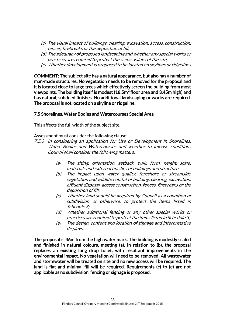- (c) The visual impact of buildings, clearing, excavation, access, construction, fences, firebreaks or the deposition of fill;
- (d) The adequacy of proposed landscaping and whether any special works or practices are required to protect the scenic values of the site;
- (e) Whether development is proposed to be located on skylines or ridgelines.

COMMENT: The subject site has a natural appearance, but also has a number of man-made structures. No vegetation needs to be removed for the proposal and it is located close to large trees which effectively screen the building from most viewpoints. The building itself is modest (18.5m $^2$  floor area and 3.45m high) and has natural, subdued finishes. No additional landscaping or works are required. The proposal is not located on a skyline or ridgeline.

#### 7.5 Shorelines, Water Bodies and Watercourses Special Area

This affects the full width of the subject site.

Assessment must consider the following clause:

- 7.5.3 In considering an application for Use or Development in Shorelines, Water Bodies and Watercourses and whether to impose conditions Council shall consider the following matters:
	- (a) The siting, orientation, setback, bulk, form, height, scale, materials and external finishes of buildings and structures
	- (b) The impact upon water quality, foreshore or streamside vegetation and wildlife habitat of building, clearing, excavation, effluent disposal, access construction, fences, firebreaks or the deposition of fill;
	- (c) Whether land should be acquired by Council as a condition of subdivision or otherwise, to protect the items listed in Schedule 3;
	- (d) Whether additional fencing or any other special works or practices are required to protect the items listed in Schedule 3;
	- (e) The design, content and location of signage and interpretative displays.

The proposal is 46m from the high water mark. The building is modestly scaled and finished in natural colours, meeting (a). In relation to (b), the proposal replaces an existing long drop toilet, with resultant improvements in the environmental impact. No vegetation will need to be removed. All wastewater and stormwater will be treated on site and no new access will be required. The land is flat and minimal fill will be required. Requirements (c) to (e) are not applicable as no subdivision, fencing or signage is proposed.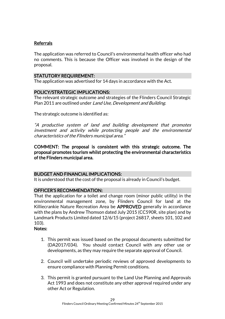### Referrals

The application was referred to Council's environmental health officer who had no comments. This is because the Officer was involved in the design of the proposal.

#### STATUTORY REQUIREMENT:

The application was advertised for 14 days in accordance with the Act.

#### POLICY/STRATEGIC IMPLICATIONS:

The relevant strategic outcome and strategies of the Flinders Council Strategic Plan 2011 are outlined under Land Use, Development and Building.

The strategic outcome is identified as:

"A productive system of land and building development that promotes investment and activity while protecting people and the environmental characteristics of the Flinders municipal area."

COMMENT: The proposal is consistent with this strategic outcome. The proposal promotes tourism whilst protecting the environmental characteristics of the Flinders municipal area.

#### BUDGET AND FINANCIAL IMPLICATIONS:

It is understood that the cost of the proposal is already in Council's budget.

#### OFFICER'S RECOMMENDATION:

That the application for a toilet and change room (minor public utility) in the environmental management zone, by Flinders Council for land at the Killiecrankie Nature Recreation Area be APPROVED generally in accordance with the plans by Andrew Thomson dated July 2015 (CC590R, site plan) and by Landmark Products Limited dated 12/6/15 (project 26817, sheets 101, 102 and 103).

#### Notes:

- 1. This permit was issued based on the proposal documents submitted for (DA2017/034). You should contact Council with any other use or developments, as they may require the separate approval of Council.
- 2. Council will undertake periodic reviews of approved developments to ensure compliance with Planning Permit conditions.
- 3. This permit is granted pursuant to the Land Use Planning and Approvals Act 1993 and does not constitute any other approval required under any other Act or Regulation.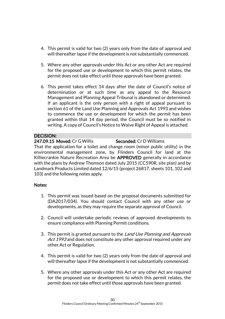- 4. This permit is valid for two (2) years only from the date of approval and will thereafter lapse if the development is not substantially commenced.
- 5. Where any other approvals under this Act or any other Act are required for the proposed use or development to which this permit relates, the permit does not take effect until those approvals have been granted.
- 6. This permit takes effect 14 days after the date of Council's notice of determination or at such time as any appeal to the Resource Management and Planning Appeal Tribunal is abandoned or determined. If an applicant is the only person with a right of appeal pursuant to section 61 of the Land Use Planning and Approvals Act 1993 and wishes to commence the use or development for which the permit has been granted within that 14 day period, the Council must be so notified in writing. A copy of Council's Notice to Waive Right of Appeal is attached.

#### DECISION:

### 247.09.15 Moved: Cr G Willis Seconded: Cr D Williams

That the application for a toilet and change room (minor public utility) in the environmental management zone, by Flinders Council for land at the Killiecrankie Nature Recreation Area be APPROVED generally in accordance with the plans by Andrew Thomson dated July 2015 (CC590R, site plan) and by Landmark Products Limited dated 12/6/15 (project 26817, sheets 101, 102 and 103) and the following notes apply.

#### Notes:

- 1. This permit was issued based on the proposal documents submitted for (DA2017/034). You should contact Council with any other use or developments, as they may require the separate approval of Council.
- 2. Council will undertake periodic reviews of approved developments to ensure compliance with Planning Permit conditions.
- 3. This permit is granted pursuant to the Land Use Planning and Approvals Act 1993 and does not constitute any other approval required under any other Act or Regulation.
- 4. This permit is valid for two (2) years only from the date of approval and will thereafter lapse if the development is not substantially commenced.
- 5. Where any other approvals under this Act or any other Act are required for the proposed use or development to which this permit relates, the permit does not take effect until those approvals have been granted.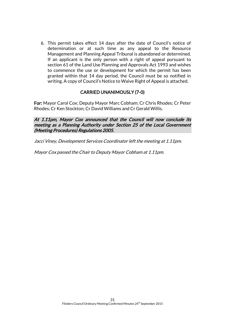6. This permit takes effect 14 days after the date of Council's notice of determination or at such time as any appeal to the Resource Management and Planning Appeal Tribunal is abandoned or determined. If an applicant is the only person with a right of appeal pursuant to section 61 of the Land Use Planning and Approvals Act 1993 and wishes to commence the use or development for which the permit has been granted within that 14 day period, the Council must be so notified in writing. A copy of Council's Notice to Waive Right of Appeal is attached.

### CARRIED UNANIMOUSLY (7-0)

For: Mayor Carol Cox; Deputy Mayor Marc Cobham; Cr Chris Rhodes; Cr Peter Rhodes; Cr Ken Stockton; Cr David Williams and Cr Gerald Willis.

At 1.11pm, Mayor Cox announced that the Council will now conclude its meeting as a Planning Authority under Section 25 of the Local Government (Meeting Procedures) Regulations 2005.

Jacci Viney, Development Services Coordinator left the meeting at 1.11pm.

Mayor Cox passed the Chair to Deputy Mayor Cobham at 1.11pm.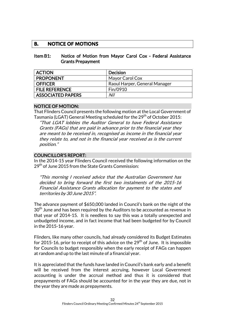### **B. NOTICE OF MOTIONS**

#### Item B1: Notice of Motion from Mayor Carol Cox - Federal Assistance Grants Prepayment

| <b>ACTION</b>            | <b>Decision</b>               |
|--------------------------|-------------------------------|
| <b>PROPONENT</b>         | Mayor Carol Cox               |
| <b>OFFICER</b>           | Raoul Harper, General Manager |
| <b>FILE REFERENCE</b>    | Fin/0910                      |
| <b>ASSOCIATED PAPERS</b> | Nil                           |

### NOTICE OF MOTION:

That Flinders Council presents the following motion at the Local Government of Tasmania (LGAT) General Meeting scheduled for the 29<sup>th</sup> of October 2015:

"That LGAT lobbies the Auditor General to have Federal Assistance Grants (FAGs) that are paid in advance prior to the financial year they are meant to be received in, recognised as income in the financial year they relate to, and not in the financial year received as is the current position."

### COUNCILLOR'S REPORT:

In the 2014-15 year Flinders Council received the following information on the 29<sup>th</sup> of June 2015 from the State Grants Commission:

"This morning I received advice that the Australian Government has decided to bring forward the first two instalments of the 2015-16 Financial Assistance Grants allocation for payment to the states and territories by 30 June 2015".

The advance payment of \$650,000 landed in Council's bank on the night of the 30<sup>th</sup> June and has been required by the Auditors to be accounted as revenue in that year of 2014-15. It is needless to say this was a totally unexpected and unbudgeted income, and in fact income that had been budgeted for by Council in the 2015-16 year.

Flinders, like many other councils, had already considered its Budget Estimates for 2015-16, prior to receipt of this advice on the  $29<sup>th</sup>$  of June. It is impossible for Councils to budget responsibly when the early receipt of FAGs can happen at random and up to the last minute of a financial year.

It is appreciated that the funds have landed in Council's bank early and a benefit will be received from the interest accruing, however Local Government accounting is under the accrual method and thus it is considered that prepayments of FAGs should be accounted for in the year they are due, not in the year they are made as prepayments.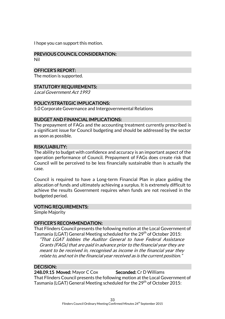I hope you can support this motion.

### PREVIOUS COUNCIL CONSIDERATION:

Nil

#### OFFICER'S REPORT:

The motion is supported.

#### STATUTORY REQUIREMENTS:

Local Government Act 1993

#### POLICY/STRATEGIC IMPLICATIONS:

5.0 Corporate Governance and Intergovernmental Relations

#### BUDGET AND FINANCIAL IMPLICATIONS:

The prepayment of FAGs and the accounting treatment currently prescribed is a significant issue for Council budgeting and should be addressed by the sector as soon as possible.

#### RISK/LIABILITY:

The ability to budget with confidence and accuracy is an important aspect of the operation performance of Council. Prepayment of FAGs does create risk that Council will be perceived to be less financially sustainable than is actually the case.

Council is required to have a Long-term Financial Plan in place guiding the allocation of funds and ultimately achieving a surplus. It is extremely difficult to achieve the results Government requires when funds are not received in the budgeted period.

#### VOTING REQUIREMENTS:

Simple Majority

#### OFFICER'S RECOMMENDATION:

That Flinders Council presents the following motion at the Local Government of Tasmania (LGAT) General Meeting scheduled for the 29<sup>th</sup> of October 2015:

"That LGAT lobbies the Auditor General to have Federal Assistance Grants (FAGs) that are paid in advance prior to the financial year they are meant to be received in, recognised as income in the financial year they relate to, and not in the financial year received as is the current position."

#### DECISION:

248.09.15 Moved: Mayor C Cox Seconded: Cr D Williams That Flinders Council presents the following motion at the Local Government of Tasmania (LGAT) General Meeting scheduled for the 29<sup>th</sup> of October 2015: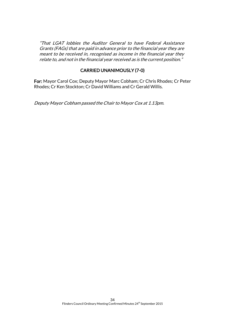"That LGAT lobbies the Auditor General to have Federal Assistance Grants (FAGs) that are paid in advance prior to the financial year they are meant to be received in, recognised as income in the financial year they relate to, and not in the financial year received as is the current position."

#### CARRIED UNANIMOUSLY (7-0)

For: Mayor Carol Cox; Deputy Mayor Marc Cobham; Cr Chris Rhodes; Cr Peter Rhodes; Cr Ken Stockton; Cr David Williams and Cr Gerald Willis.

Deputy Mayor Cobham passed the Chair to Mayor Cox at 1.13pm.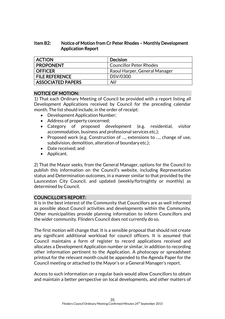#### Item B2: Notice of Motion from Cr Peter Rhodes – Monthly Development Application Report

| <b>ACTION</b>            | <b>Decision</b>                |
|--------------------------|--------------------------------|
| <b>PROPONENT</b>         | <b>Councillor Peter Rhodes</b> |
| <b>OFFICER</b>           | Raoul Harper, General Manager  |
| <b>FILE REFERENCE</b>    | DSV/0300                       |
| <b>ASSOCIATED PAPERS</b> | Nil                            |

#### NOTICE OF MOTION:

1) That each Ordinary Meeting of Council be provided with a report listing all Development Applications received by Council for the preceding calendar month. The list should include, in the order of receipt:

- Development Application Number;
- Address of property concerned;
- Category of proposed development (e.g. residential, visitor accommodation, business and professional services etc.);
- Proposed work (e.g. Construction of ..., extensions to ..., change of use, subdivision, demolition, alteration of boundary etc.);
- Date received: and
- Applicant.

2) That the Mayor seeks, from the General Manager, options for the Council to publish this information on the Council's website, including Representation status and Determination outcomes, in a manner similar to that provided by the Launceston City Council, and updated (weekly/fortnightly or monthly) as determined by Council.

#### COUNCILLOR'S REPORT:

It is in the best interest of the Community that Councillors are as well informed as possible about Council activities and developments within the Community. Other municipalities provide planning information to inform Councillors and the wider community. Flinders Council does not currently do so.

The first motion will change that. It is a sensible proposal that should not create any significant additional workload for council officers. It is assumed that Council maintains a form of register to record applications received and allocates a Development Application number or similar, in addition to recording other information pertinent to the Application. A photocopy or spreadsheet printout for the relevant month could be appended to the Agenda Paper for the Council meeting or attached to the Mayor's or a General Manager's report.

Access to such information on a regular basis would allow Councillors to obtain and maintain a better perspective on local developments, and other matters of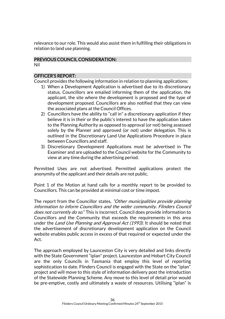relevance to our role. This would also assist them in fulfilling their obligations in relation to land use planning.

### PREVIOUS COUNCIL CONSIDERATION:

Nil

### OFFICER'S REPORT:

Council provides the following information in relation to planning applications:

- 1) When a Development Application is advertised due to its discretionary status, Councillors are emailed informing them of the application, the applicant, the site where the development is proposed and the type of development proposed. Councillors are also notified that they can view the associated plans at the Council Offices.
- 2) Councillors have the ability to "call in" a discretionary application if they believe it is in their or the public's interest to have the application taken to the Planning Authority as opposed to approval (or not) being assessed solely by the Planner and approved (or not) under delegation. This is outlined in the Discretionary Land Use Applications Procedure in place between Councillors and staff.
- 3) Discretionary Development Applications must be advertised in The Examiner and are uploaded to the Council website for the Community to view at any time during the advertising period.

Permitted Uses are not advertised. Permitted applications protect the anonymity of the applicant and their details are not public.

Point 1 of the Motion at hand calls for a monthly report to be provided to Councillors. This can be provided at minimal cost or time impost.

The report from the Councillor states, "Other municipalities provide planning information to inform Councillors and the wider community. Flinders Council does not currently do so." This is incorrect. Council does provide information to Councillors and the Community that exceeds the requirements in this area under the Land Use Planning and Approval Act (1993). It should be noted that the advertisement of discretionary development application on the Council website enables public access in excess of that required or expected under the Act.

The approach employed by Launceston City is very detailed and links directly with the State Government "iplan" project. Launceston and Hobart City Council are the only Councils in Tasmania that employ this level of reporting sophistication to date. Flinders Council is engaged with the State on the "iplan" project and will move to this style of information delivery post the introduction of the Statewide Planning Scheme. Any move to this level of detail prior would be pre-emptive, costly and ultimately a waste of resources. Utilising "iplan" is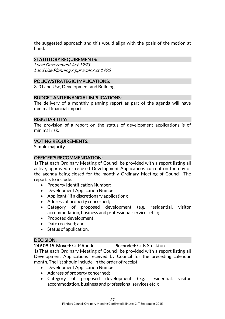the suggested approach and this would align with the goals of the motion at hand.

### STATUTORY REQUIREMENTS:

Local Government Act 1993 Land Use Planning Approvals Act 1993

### POLICY/STRATEGIC IMPLICATIONS:

3. 0 Land Use, Development and Building

#### BUDGET AND FINANCIAL IMPLICATIONS:

The delivery of a monthly planning report as part of the agenda will have minimal financial impact.

#### RISK/LIABILITY:

The provision of a report on the status of development applications is of minimal risk.

#### VOTING REQUIREMENTS:

Simple majority

### OFFICER'S RECOMMENDATION:

1) That each Ordinary Meeting of Council be provided with a report listing all active, approved or refused Development Applications current on the day of the agenda being closed for the monthly Ordinary Meeting of Council. The report is to include:

- Property Identification Number;
- Development Application Number;
- Applicant (if a discretionary application);
- Address of property concerned;
- Category of proposed development (e.g. residential, visitor accommodation, business and professional services etc.);
- Proposed development;
- Date received; and
- Status of application.

### DECISION:

#### 249.09.15 Moved: Cr P Rhodes Seconded: Cr K Stockton

1) That each Ordinary Meeting of Council be provided with a report listing all Development Applications received by Council for the preceding calendar month. The list should include, in the order of receipt:

- Development Application Number;
- Address of property concerned;
- Category of proposed development (e.g. residential, visitor accommodation, business and professional services etc.);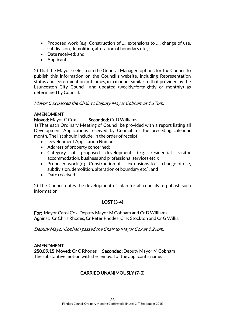- Proposed work (e.g. Construction of ..., extensions to ..., change of use, subdivision, demolition, alteration of boundary etc.);
- Date received: and
- Applicant.

2) That the Mayor seeks, from the General Manager, options for the Council to publish this information on the Council's website, including Representation status and Determination outcomes, in a manner similar to that provided by the Launceston City Council, and updated (weekly/fortnightly or monthly) as determined by Council.

#### Mayor Cox passed the Chair to Deputy Mayor Cobham at 1.17pm.

#### AMENDMENT

#### Moved: Mayor C Cox Seconded: Cr D Williams

1) That each Ordinary Meeting of Council be provided with a report listing all Development Applications received by Council for the preceding calendar month. The list should include, in the order of receipt:

- Development Application Number;
- Address of property concerned;
- Category of proposed development (e.g. residential, visitor accommodation, business and professional services etc.);
- Proposed work (e.g. Construction of ..., extensions to ..., change of use, subdivision, demolition, alteration of boundary etc.); and
- Date received.

2) The Council notes the development of iplan for all councils to publish such information.

### LOST (3-4)

For: Mayor Carol Cox, Deputy Mayor M Cobham and Cr D Williams Against: Cr Chris Rhodes, Cr Peter Rhodes, Cr K Stockton and Cr G Willis.

Deputy Mayor Cobham passed the Chair to Mayor Cox at 1.26pm.

#### AMENDMENT

250.09.15 Moved: Cr C Rhodes Seconded: Deputy Mayor M Cobham The substantive motion with the removal of the applicant's name.

### CARRIED UNANIMOUSLY (7-0)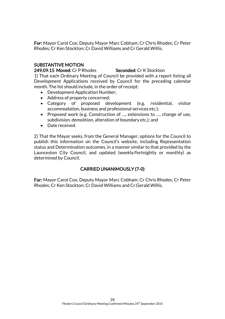For: Mayor Carol Cox; Deputy Mayor Marc Cobham; Cr Chris Rhodes; Cr Peter Rhodes; Cr Ken Stockton; Cr David Williams and Cr Gerald Willis.

#### SUBSTANTIVE MOTION

249.09.15 Moved: Cr P Rhodes Seconded: Cr K Stockton

1) That each Ordinary Meeting of Council be provided with a report listing all Development Applications received by Council for the preceding calendar month. The list should include, in the order of receipt:

- Development Application Number;
- Address of property concerned;
- Category of proposed development (e.g. residential, visitor accommodation, business and professional services etc.);
- Proposed work (e.g. Construction of ..., extensions to ..., change of use, subdivision, demolition, alteration of boundary etc.); and
- Date received.

2) That the Mayor seeks, from the General Manager, options for the Council to publish this information on the Council's website, including Representation status and Determination outcomes, in a manner similar to that provided by the Launceston City Council, and updated (weekly/fortnightly or monthly) as determined by Council.

### CARRIED UNANIMOUSLY (7-0)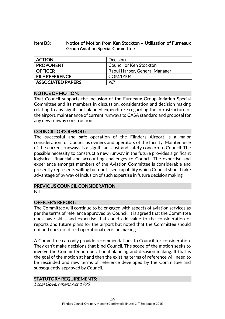#### Item B3: Notice of Motion from Ken Stockton – Utilisation of Furneaux Group Aviation Special Committee

| <b>ACTION</b>            | <b>Decision</b>                |
|--------------------------|--------------------------------|
| <b>PROPONENT</b>         | <b>Councillor Ken Stockton</b> |
| <b>OFFICER</b>           | Raoul Harper, General Manager  |
| <b>FILE REFERENCE</b>    | COM/0104                       |
| <b>ASSOCIATED PAPERS</b> | Nil                            |

#### NOTICE OF MOTION:

That Council supports the inclusion of the Furneaux Group Aviation Special Committee and its members in discussion, consideration and decision making relating to any significant planned expenditure regarding the infrastructure of the airport, maintenance of current runways to CASA standard and proposal for any new runway construction.

#### COUNCILLOR'S REPORT:

The successful and safe operation of the Flinders Airport is a major consideration for Council as owners and operators of the facility. Maintenance of the current runways is a significant cost and safety concern to Council. The possible necessity to construct a new runway in the future provides significant logistical, financial and accounting challenges to Council. The expertise and experience amongst members of the Aviation Committee is considerable and presently represents willing but unutilised capability which Council should take advantage of by way of inclusion of such expertise in future decision making.

#### PREVIOUS COUNCIL CONSIDERATION:

Nil

#### OFFICER'S REPORT:

The Committee will continue to be engaged with aspects of aviation services as per the terms of reference approved by Council. It is agreed that the Committee does have skills and expertise that could add value to the consideration of reports and future plans for the airport but noted that the Committee should not and does not direct operational decision making.

A Committee can only provide recommendations to Council for consideration. They can't make decisions that bind Council. The scope of the motion seeks to involve the Committee in operational planning and decision making. If that is the goal of the motion at hand then the existing terms of reference will need to be rescinded and new terms of reference developed by the Committee and subsequently approved by Council.

#### STATUTORY REQUIREMENTS:

Local Government Act 1993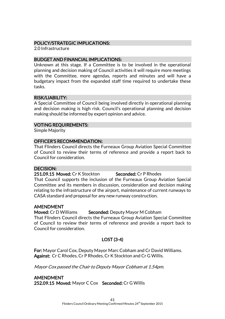#### POLICY/STRATEGIC IMPLICATIONS:

2.0 Infrastructure

#### BUDGET AND FINANCIAL IMPLICATIONS:

Unknown at this stage. If a Committee is to be involved in the operational planning and decision making of Council activities it will require more meetings with the Committee, more agendas, reports and minutes and will have a budgetary impact from the expanded staff time required to undertake these tasks.

#### RISK/LIABILITY:

A Special Committee of Council being involved directly in operational planning and decision making is high risk. Council's operational planning and decision making should be informed by expert opinion and advice.

#### VOTING REQUIREMENTS:

Simple Majority

#### OFFICER'S RECOMMENDATION:

That Flinders Council directs the Furneaux Group Aviation Special Committee of Council to review their terms of reference and provide a report back to Council for consideration.

#### DECISION:

251.09.15 Moved: Cr K Stockton Seconded: Cr P Rhodes That Council supports the inclusion of the Furneaux Group Aviation Special Committee and its members in discussion, consideration and decision making relating to the infrastructure of the airport, maintenance of current runways to CASA standard and proposal for any new runway construction.

#### AMENDMENT

Moved: Cr D Williams Seconded: Deputy Mayor M Cobham

That Flinders Council directs the Furneaux Group Aviation Special Committee of Council to review their terms of reference and provide a report back to Council for consideration.

#### LOST (3-4)

For: Mayor Carol Cox, Deputy Mayor Marc Cobham and Cr David Williams. Against: Cr C Rhodes, Cr P Rhodes, Cr K Stockton and Cr G Willis.

Mayor Cox passed the Chair to Deputy Mayor Cobham at 1.54pm.

AMENDMENT 252.09.15 Moved: Mayor C Cox Seconded: Cr G Willis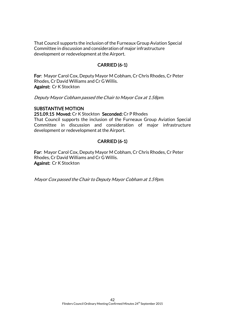That Council supports the inclusion of the Furneaux Group Aviation Special Committee in discussion and consideration of major infrastructure development or redevelopment at the Airport.

### CARRIED (6-1)

For: Mayor Carol Cox, Deputy Mayor M Cobham, Cr Chris Rhodes, Cr Peter Rhodes, Cr David Williams and Cr G Willis. Against: Cr K Stockton

Deputy Mayor Cobham passed the Chair to Mayor Cox at 1.58pm.

#### SUBSTANTIVE MOTION

251.09.15 Moved: Cr K Stockton Seconded: Cr P Rhodes

That Council supports the inclusion of the Furneaux Group Aviation Special Committee in discussion and consideration of major infrastructure development or redevelopment at the Airport.

### CARRIED (6-1)

For: Mayor Carol Cox, Deputy Mayor M Cobham, Cr Chris Rhodes, Cr Peter Rhodes, Cr David Williams and Cr G Willis. Against: Cr K Stockton

Mayor Cox passed the Chair to Deputy Mayor Cobham at 1.59pm.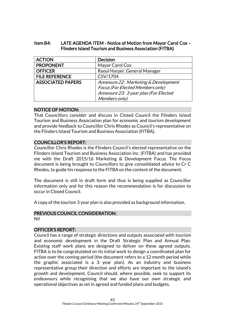#### Item B4: LATE AGENDA ITEM - Notice of Motion from Mayor Carol Cox – Flinders Island Tourism and Business Association (FITBA)

| <b>ACTION</b>            | <b>Decision</b>                         |
|--------------------------|-----------------------------------------|
| <b>PROPONENT</b>         | Mayor Carol Cox                         |
| <b>OFFICER</b>           | Raoul Harper, General Manager           |
| <b>FILE REFERENCE</b>    | CSV/1704                                |
| <b>ASSOCIATED PAPERS</b> | Annexure 22: Marketing & Development    |
|                          | <b>Focus (For Elected Members only)</b> |
|                          | Annexure 23: 3 year plan (For Elected   |
|                          | Members only)                           |

#### NOTICE OF MOTION:

That Councillors consider and discuss in Closed Council the Flinders Island Tourism and Business Association plan for economic and tourism development and provide feedback to Councillor Chris Rhodes as Council's representative on the Flinders Island Tourism and Business Association (FITBA).

#### COUNCILLOR'S REPORT:

Councillor Chris Rhodes is the Flinders Council's elected representative on the Flinders Island Tourism and Business Association Inc. (FITBA) and has provided me with the Draft 2015/16 Marketing & Development Focus. The Focus document is being brought to Councillors to give consolidated advice to Cr C Rhodes, to guide his response to the FITBA on the content of the document.

The document is still in draft form and thus is being supplied as Councillor information only and for this reason the recommendation is for discussion to occur in Closed Council.

A copy of the tourism 3 year plan is also provided as background information.

#### PREVIOUS COUNCIL CONSIDERATION:

Nil

#### OFFICER'S REPORT:

Council has a range of strategic directions and outputs associated with tourism and economic development in the Draft Strategic Plan and Annual Plan. Existing staff work plans are designed to deliver on these agreed outputs. FITBA is to be congratulated on its initial work to design a coordinated plan for action over the coming period (the document refers to a 12 month period while the graphic associated is a 3 year plan). As an industry and business representative group their direction and efforts are important to the island's growth and development. Council should, where possible, seek to support its endeavours while recognising that we also have our own strategic and operational objectives as set in agreed and funded plans and budgets.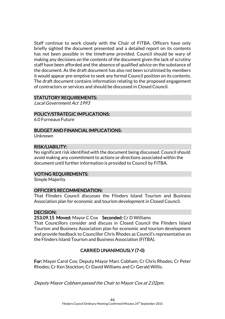Staff continue to work closely with the Chair of FITBA. Officers have only briefly sighted the document presented and a detailed report on its contents has not been possible in the timeframe provided. Council should be wary of making any decisions on the contents of the document given the lack of scrutiny staff have been afforded and the absence of qualified advice on the substance of the document. As the draft document has also not been scrutinised by members it would appear pre-emptive to seek any formal Council position on its contents. The draft document contains information relating to the proposed engagement of contractors or services and should be discussed in Closed Council.

#### STATUTORY REQUIREMENTS:

Local Government Act 1993

#### POLICY/STRATEGIC IMPLICATIONS:

6.0 Furneaux Future

#### BUDGET AND FINANCIAL IMPLICATIONS:

Unknown

#### RISK/LIABILITY:

No significant risk identified with the document being discussed. Council should avoid making any commitment to actions or directions associated within the document until further information is provided to Council by FITBA.

#### VOTING REQUIREMENTS:

Simple Majority

#### OFFICER'S RECOMMENDATION:

That Flinders Council discusses the Flinders Island Tourism and Business Association plan for economic and tourism development in Closed Council.

#### DECISION:

253.09.15 Moved: Mayor C Cox Seconded: Cr D Williams

That Councillors consider and discuss in Closed Council the Flinders Island Tourism and Business Association plan for economic and tourism development and provide feedback to Councillor Chris Rhodes as Council's representative on the Flinders Island Tourism and Business Association (FITBA).

### CARRIED UNANIMOUSLY (7-0)

For: Mayor Carol Cox; Deputy Mayor Marc Cobham; Cr Chris Rhodes; Cr Peter Rhodes; Cr Ken Stockton; Cr David Williams and Cr Gerald Willis.

Deputy Mayor Cobham passed the Chair to Mayor Cox at 2.02pm.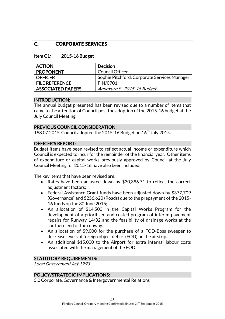### **C. CORPORATE SERVICES**

#### Item C1: 2015-16 Budget

| <b>ACTION</b>            | Decision                                     |
|--------------------------|----------------------------------------------|
| <b>PROPONENT</b>         | <b>Council Officer</b>                       |
| <b>OFFICER</b>           | Sophie Pitchford, Corporate Services Manager |
| <b>FILE REFERENCE</b>    | FIN/0701                                     |
| <b>ASSOCIATED PAPERS</b> | Annexure 9: 2015-16 Budget                   |

#### INTRODUCTION:

The annual budget presented has been revised due to a number of items that came to the attention of Council postthe adoption of the 2015-16 budget at the July Council Meeting.

#### PREVIOUS COUNCIL CONSIDERATION:

198.07.2015 Council adopted the 2015-16 Budget on  $16^{th}$  July 2015.

#### OFFICER'S REPORT:

Budget items have been revised to reflect actual income or expenditure which Council is expected to incur for the remainder of the financial year. Other items of expenditure or capital works previously approved by Council at the July Council Meeting for 2015-16 have also been included.

The key items that have been revised are:

- Rates have been adjusted down by \$30,396.71 to reflect the correct adjustment factors;
- Federal Assistance Grant funds have been adjusted down by \$377,709 (Governance) and \$256,620 (Roads) due to the prepayment of the 2015- 16 funds on the 30 June 2015;
- An allocation of \$14,500 in the Capital Works Program for the development of a prioritised and costed program of interim pavement repairs for Runway 14/32 and the feasibility of drainage works at the southern end of the runway.
- An allocation of \$9,000 for the purchase of a FOD-Boss sweeper to decrease levels of foreign object debris (FOD) on the airstrip.
- An additional \$15,000 to the Airport for extra internal labour costs associated with the management of the FOD.

#### STATUTORY REQUIREMENTS:

Local Government Act 1993

#### POLICY/STRATEGIC IMPLICATIONS:

5.0 Corporate, Governance & Intergovernmental Relations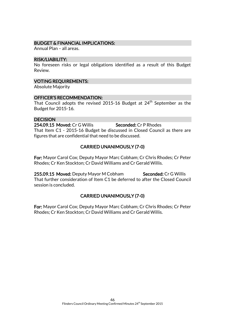#### BUDGET & FINANCIAL IMPLICATIONS:

Annual Plan – all areas.

#### RISK/LIABILITY:

No foreseen risks or legal obligations identified as a result of this Budget Review.

#### VOTING REQUIREMENTS:

Absolute Majority

#### OFFICER'S RECOMMENDATION:

That Council adopts the revised 2015-16 Budget at 24<sup>th</sup> September as the Budget for 2015-16.

#### **DECISION**

254.09.15 Moved: Cr G Willis Seconded: Cr P Rhodes That Item C1 - 2015-16 Budget be discussed in Closed Council as there are figures that are confidential that need to be discussed.

### CARRIED UNANIMOUSLY (7-0)

For: Mayor Carol Cox; Deputy Mayor Marc Cobham; Cr Chris Rhodes; Cr Peter Rhodes; Cr Ken Stockton; Cr David Williams and Cr Gerald Willis.

255.09.15 Moved: Deputy Mayor M Cobham Seconded: Cr G Willis That further consideration of Item C1 be deferred to after the Closed Council session is concluded.

### CARRIED UNANIMOUSLY (7-0)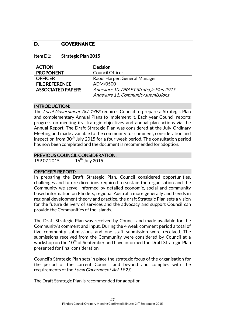### **D. GOVERNANCE**

#### Item D1: Strategic Plan 2015

| <b>ACTION</b>            | <b>Decision</b>                        |
|--------------------------|----------------------------------------|
| <b>PROPONENT</b>         | <b>Council Officer</b>                 |
| <b>OFFICER</b>           | Raoul Harper, General Manager          |
| <b>FILE REFERENCE</b>    | ADM/0500                               |
| <b>ASSOCIATED PAPERS</b> | Annexure 10: DRAFT Strategic Plan 2015 |
|                          | Annexure 11: Community submissions     |

#### INTRODUCTION:

The Local Government Act 1993 requires Council to prepare a Strategic Plan and complementary Annual Plans to implement it. Each year Council reports progress on meeting its strategic objectives and annual plan actions via the Annual Report. The Draft Strategic Plan was considered at the July Ordinary Meeting and made available to the community for comment, consideration and inspection from  $30<sup>th</sup>$  July 2015 for a four week period. The consultation period has now been completed and the document is recommended for adoption.

#### PREVIOUS COUNCIL CONSIDERATION:

199.07.2015 16<sup>th</sup> July 2015

#### OFFICER'S REPORT:

In preparing the Draft Strategic Plan, Council considered opportunities, challenges and future directions required to sustain the organisation and the Community we serve. Informed by detailed economic, social and community based information on Flinders, regional Australia more generally and trends in regional development theory and practice, the draft Strategic Plan sets a vision for the future delivery of services and the advocacy and support Council can provide the Communities of the Islands.

The Draft Strategic Plan was received by Council and made available for the Community's comment and input. During the 4 week comment period a total of five community submissions and one staff submission were received. The submissions received from the Community were considered by Council at a workshop on the  $10<sup>th</sup>$  of September and have informed the Draft Strategic Plan presented for final consideration.

Council's Strategic Plan sets in place the strategic focus of the organisation for the period of the current Council and beyond and complies with the requirements of the Local Government Act 1993.

The Draft Strategic Plan is recommended for adoption.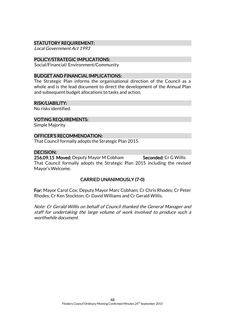#### STATUTORY REQUIREMENT:

Local Government Act 1993

#### POLICY/STRATEGIC IMPLICATIONS:

Social/Financial/ Environment/Community

#### BUDGET AND FINANCIAL IMPLICATIONS:

The Strategic Plan informs the organisational direction of the Council as a whole and is the lead document to direct the development of the Annual Plan and subsequent budget allocations to tasks and action.

#### RISK/LIABILITY:

No risks identified.

#### VOTING REQUIREMENTS:

Simple Majority

#### OFFICER'S RECOMMENDATION:

That Council formally adopts the Strategic Plan 2015.

#### DECISION:

256.09.15 Moved: Deputy Mayor M Cobham Seconded: Cr G Willis That Council formally adopts the Strategic Plan 2015 including the revised Mayor's Welcome.

#### CARRIED UNANIMOUSLY (7-0)

For: Mayor Carol Cox; Deputy Mayor Marc Cobham; Cr Chris Rhodes; Cr Peter Rhodes; Cr Ken Stockton; Cr David Williams and Cr Gerald Willis.

Note: Cr Gerald Willis on behalf of Council thanked the General Manager and staff for undertaking the large volume of work involved to produce such a worthwhile document.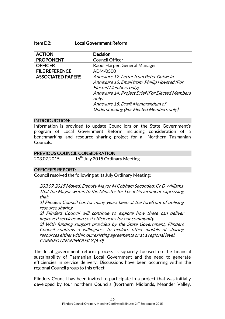#### Item D2: Local Government Reform

| <b>ACTION</b>            | <b>Decision</b>                                  |
|--------------------------|--------------------------------------------------|
| <b>PROPONENT</b>         | <b>Council Officer</b>                           |
| <b>OFFICER</b>           | Raoul Harper, General Manager                    |
| <b>FILE REFERENCE</b>    | ADM/0500                                         |
| <b>ASSOCIATED PAPERS</b> | Annexure 12: Letter from Peter Gutwein           |
|                          | Annexure 13: Email from Phillip Hoysted (For     |
|                          | <b>Elected Members only)</b>                     |
|                          | Annexure 14: Project Brief (For Elected Members) |
|                          | only)                                            |
|                          | Annexure 15: Draft Memorandum of                 |
|                          | Understanding (For Elected Members only)         |

#### INTRODUCTION:

Information is provided to update Councillors on the State Government's program of Local Government Reform including consideration of a benchmarking and resource sharing project for all Northern Tasmanian Councils.

#### PREVIOUS COUNCIL CONSIDERATION:

203.07.2015 16<sup>th</sup> July 2015 Ordinary Meeting

#### OFFICER'S REPORT:

Council resolved the following at its July Ordinary Meeting:

203.07.2015 Moved: Deputy Mayor M Cobham Seconded: Cr D Williams That the Mayor writes to the Minister for Local Government expressing that:

1) Flinders Council has for many years been at the forefront of utilising resource sharing.

2) Flinders Council will continue to explore how these can deliver improved services and cost efficiencies for our community.

3) With funding support provided by the State Government, Flinders Council confirms a willingness to explore other models of sharing resources either within our existing agreements or at a regional level. CARRIED UNANIMOUSLY (6-0)

The local government reform process is squarely focused on the financial sustainability of Tasmanian Local Government and the need to generate efficiencies in service delivery. Discussions have been occurring within the regional Council group to this effect.

Flinders Council has been invited to participate in a project that was initially developed by four northern Councils (Northern Midlands, Meander Valley,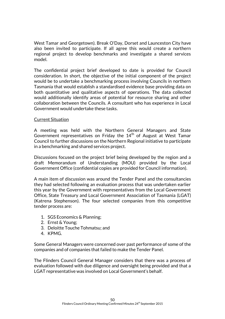West Tamar and Georgetown). Break O'Day, Dorset and Launceston City have also been invited to participate. If all agree this would create a northern regional project to develop benchmarks and investigate a shared services model.

The confidential project brief developed to date is provided for Council consideration. In short, the objective of the initial component of the project would be to undertake a benchmarking process involving Councils in northern Tasmania that would establish a standardised evidence base providing data on both quantitative and qualitative aspects of operations. The data collected would additionally identify areas of potential for resource sharing and other collaboration between the Councils. A consultant who has experience in Local Government would undertake these tasks.

#### Current Situation

A meeting was held with the Northern General Managers and State Government representatives on Friday the  $14<sup>th</sup>$  of August at West Tamar Council to further discussions on the Northern Regional initiative to participate in a benchmarking and shared services project.

Discussions focused on the project brief being developed by the region and a draft Memorandum of Understanding (MOU) provided by the Local Government Office (confidential copies are provided for Council information).

A main item of discussion was around the Tender Panel and the consultancies they had selected following an evaluation process that was undertaken earlier this year by the Government with representatives from the Local Government Office, State Treasury and Local Government Association of Tasmania (LGAT) (Katrena Stephenson). The four selected companies from this competitive tender process are:

- 1. SGS Economics & Planning;
- 2. Ernst & Young;
- 3. Deloitte Touche Tohmatsu; and
- 4. KPMG.

Some General Managers were concerned over past performance of some of the companies and of companies that failed to make the Tender Panel.

The Flinders Council General Manager considers that there was a process of evaluation followed with due diligence and oversight being provided and that a LGAT representative was involved on Local Government's behalf.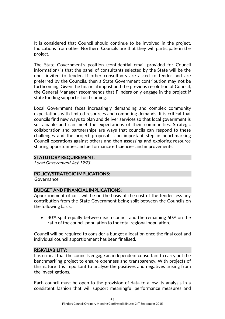It is considered that Council should continue to be involved in the project. Indications from other Northern Councils are that they will participate in the project.

The State Government's position (confidential email provided for Council information) is that the panel of consultants selected by the State will be the ones invited to tender. If other consultants are asked to tender and are preferred by the Councils, then a State Government contribution may not be forthcoming. Given the financial impost and the previous resolution of Council, the General Manager recommends that Flinders only engage in the project if state funding support is forthcoming.

Local Government faces increasingly demanding and complex community expectations with limited resources and competing demands. It is critical that councils find new ways to plan and deliver services so that local government is sustainable and can meet the expectations of their communities. Strategic collaboration and partnerships are ways that councils can respond to these challenges and the project proposal is an important step in benchmarking Council operations against others and then assessing and exploring resource sharing opportunities and performance efficiencies and improvements.

### STATUTORY REQUIREMENT:

Local Government Act 1993

#### POLICY/STRATEGIC IMPLICATIONS:

**Governance** 

#### BUDGET AND FINANCIAL IMPLICATIONS:

Apportionment of cost will be on the basis of the cost of the tender less any contribution from the State Government being split between the Councils on the following basis:

 40% split equally between each council and the remaining 60% on the ratio of the council population to the total regional population.

Council will be required to consider a budget allocation once the final cost and individual council apportionment has been finalised.

#### RISK/LIABILITY:

It is critical that the councils engage an independent consultant to carry out the benchmarking project to ensure openness and transparency. With projects of this nature it is important to analyse the positives and negatives arising from the investigations.

Each council must be open to the provision of data to allow its analysis in a consistent fashion that will support meaningful performance measures and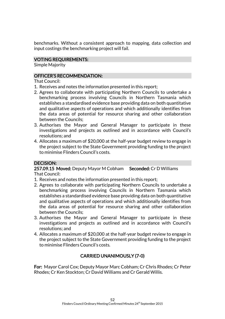benchmarks. Without a consistent approach to mapping, data collection and input costings the benchmarking project will fail.

#### VOTING REQUIREMENTS:

Simple Majority

### OFFICER'S RECOMMENDATION:

That Council:

- 1. Receives and notes the information presented in this report;
- 2. Agrees to collaborate with participating Northern Councils to undertake a benchmarking process involving Councils in Northern Tasmania which establishes a standardised evidence base providing data on both quantitative and qualitative aspects of operations and which additionally identifies from the data areas of potential for resource sharing and other collaboration between the Councils;
- 3. Authorises the Mayor and General Manager to participate in these investigations and projects as outlined and in accordance with Council's resolutions; and
- 4. Allocates a maximum of \$20,000 at the half-year budget review to engage in the project subject to the State Government providing funding to the project to minimise Flinders Council's costs.

### DECISION:

257.09.15 Moved: Deputy Mayor M Cobham Seconded: Cr D Williams That Council:

- 1. Receives and notes the information presented in this report;
- 2. Agrees to collaborate with participating Northern Councils to undertake a benchmarking process involving Councils in Northern Tasmania which establishes a standardised evidence base providing data on both quantitative and qualitative aspects of operations and which additionally identifies from the data areas of potential for resource sharing and other collaboration between the Councils;
- 3. Authorises the Mayor and General Manager to participate in these investigations and projects as outlined and in accordance with Council's resolutions; and
- 4. Allocates a maximum of \$20,000 at the half-year budget review to engage in the project subject to the State Government providing funding to the project to minimise Flinders Council's costs.

### CARRIED UNANIMOUSLY (7-0)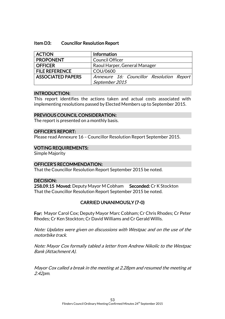#### Item D3: Councillor Resolution Report

| <b>ACTION</b>            | <b>Information</b>                        |
|--------------------------|-------------------------------------------|
| <b>PROPONENT</b>         | <b>Council Officer</b>                    |
| <b>OFFICER</b>           | Raoul Harper, General Manager             |
| <b>FILE REFERENCE</b>    | COU/0600                                  |
| <b>ASSOCIATED PAPERS</b> | Annexure 16: Councillor Resolution Report |
|                          | September 2015                            |

#### INTRODUCTION:

This report identifies the actions taken and actual costs associated with implementing resolutions passed by Elected Members up to September 2015.

#### PREVIOUS COUNCIL CONSIDERATION:

The report is presented on a monthly basis.

#### OFFICER'S REPORT:

Please read Annexure 16 – Councillor Resolution Report September 2015.

#### VOTING REQUIREMENTS:

Simple Majority

#### OFFICER'S RECOMMENDATION:

That the Councillor Resolution Report September 2015 be noted.

#### DECISION:

258.09.15 Moved: Deputy Mayor M Cobham Seconded: Cr K Stockton That the Councillor Resolution Report September 2015 be noted.

#### CARRIED UNANIMOUSLY (7-0)

For: Mayor Carol Cox; Deputy Mayor Marc Cobham; Cr Chris Rhodes; Cr Peter Rhodes; Cr Ken Stockton; Cr David Williams and Cr Gerald Willis.

Note: Updates were given on discussions with Westpac and on the use of the motorbike track.

Note: Mayor Cox formally tabled a letter from Andrew Nikolic to the Westpac Bank (Attachment A).

Mayor Cox called a break in the meeting at 2.28pm and resumed the meeting at 2.42pm.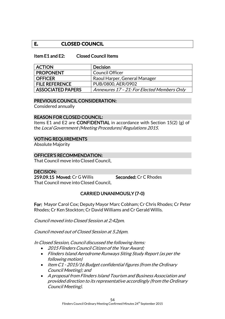### **E. CLOSED COUNCIL**

#### Item E1 and E2: Closed Council Items

| <b>ACTION</b>         | <b>Decision</b>                             |
|-----------------------|---------------------------------------------|
| <b>PROPONENT</b>      | <b>Council Officer</b>                      |
| <b>OFFICER</b>        | Raoul Harper, General Manager               |
| <b>FILE REFERENCE</b> | PUB/0800, AER/0902                          |
| ASSOCIATED PAPERS     | Annexures 17 - 21: For Elected Members Only |

#### PREVIOUS COUNCIL CONSIDERATION:

Considered annually

#### REASON FOR CLOSED COUNCIL:

Items E1 and E2 are CONFIDENTIAL in accordance with Section 15(2) (g) of the Local Government (Meeting Procedures) Regulations 2015.

#### VOTING REQUIREMENTS

Absolute Majority

#### OFFICER'S RECOMMENDATION:

That Council move into Closed Council.

## DECISION:

259.09.15 Moved: Cr G Willis Seconded: Cr C Rhodes That Council move into Closed Council.

### CARRIED UNANIMOUSLY (7-0)

For: Mayor Carol Cox; Deputy Mayor Marc Cobham; Cr Chris Rhodes; Cr Peter Rhodes; Cr Ken Stockton; Cr David Williams and Cr Gerald Willis.

Council moved into Closed Session at 2:42pm.

Council moved out of Closed Session at 5.26pm.

In Closed Session, Council discussed the following items:

- 2015 Flinders Council Citizen of the Year Award;
- Flinders Island Aerodrome Runways Siting Study Report (as per the following motion)
- Item C1 2015/16 Budget confidential figures (from the Ordinary Council Meeting); and
- A proposal from Flinders Island Tourism and Business Association and provided direction to its representative accordingly (from the Ordinary Council Meeting).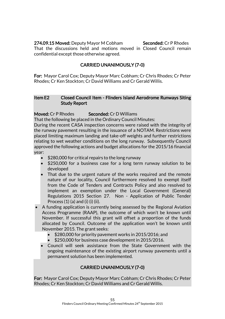### 274.09.15 Moved: Deputy Mayor M Cobham Seconded: Cr P Rhodes

That the discussions held and motions moved in Closed Council remain confidential except those otherwise agreed.

### CARRIED UNANIMOUSLY (7-0)

For: Mayor Carol Cox; Deputy Mayor Marc Cobham; Cr Chris Rhodes; Cr Peter Rhodes; Cr Ken Stockton; Cr David Williams and Cr Gerald Willis.

### Item E2 Closed Council Item - Flinders Island Aerodrome Runways Siting Study Report

### Moved: Cr P Rhodes Seconded: Cr D Williams

That the following be placed in the Ordinary Council Minutes:

During the recent CASA inspection concerns were raised with the integrity of the runway pavement resulting in the issuance of a NOTAM. Restrictions were placed limiting maximum landing and take-off weights and further restrictions relating to wet weather conditions on the long runway. Subsequently Council approved the following actions and budget allocations for the 2015/16 financial year:

- \$280,000 for critical repairs to the long runway
- \$250,000 for a business case for a long term runway solution to be developed
- That due to the urgent nature of the works required and the remote nature of our locality, Council furthermore resolved to exempt itself from the Code of Tenders and Contracts Policy and also resolved to implement an exemption under the Local Government (General) Regulations 2015 Section 27. Non - Application of Public Tender Process  $(1)$   $(a)$  and  $(i)$   $(ii)$   $(ii)$ .
- A funding application is currently being assessed by the Regional Aviation Access Programme (RAAP), the outcome of which won't be known until November. If successful this grant will offset a proportion of the funds allocated by Council. Outcome of the application won't be known until November 2015. The grant seeks:
	- $\bullet$  \$280,000 for priority pavement works in 2015/2016; and
	- \$250,000 for business case development in 2015/2016.
	- Council will seek assistance from the State Government with the ongoing maintenance of the existing airport runway pavements until a permanent solution has been implemented.

### CARRIED UNANIMOUSLY (7-0)